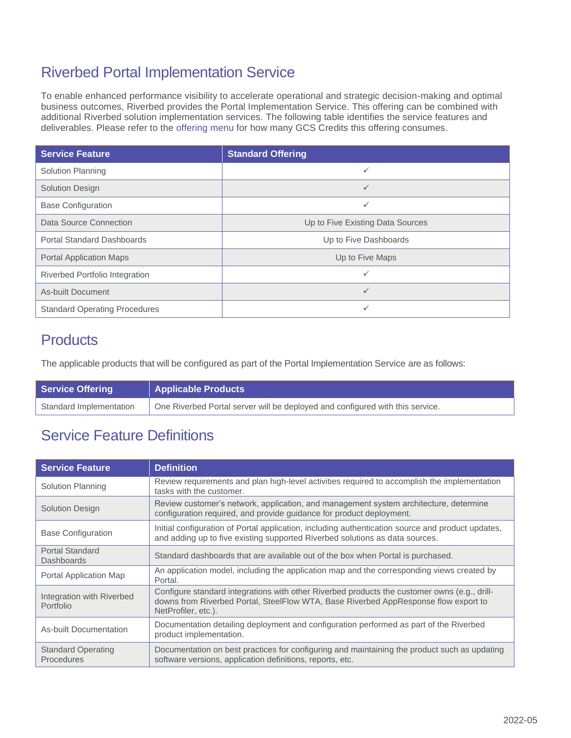## Riverbed Portal Implementation Service

To enable enhanced performance visibility to accelerate operational and strategic decision-making and optimal business outcomes, Riverbed provides the Portal Implementation Service. This offering can be combined with additional Riverbed solution implementation services. The following table identifies the service features and deliverables. Please refer to the [offering menu](https://www.riverbed.com/file/document/implementation-menu) for how many GCS Credits this offering consumes.

| <b>Service Feature</b>               | <b>Standard Offering</b>         |
|--------------------------------------|----------------------------------|
| Solution Planning                    | ✓                                |
| <b>Solution Design</b>               | $\checkmark$                     |
| <b>Base Configuration</b>            | ✓                                |
| Data Source Connection               | Up to Five Existing Data Sources |
| <b>Portal Standard Dashboards</b>    | Up to Five Dashboards            |
| <b>Portal Application Maps</b>       | Up to Five Maps                  |
| Riverbed Portfolio Integration       | ✓                                |
| As-built Document                    | ✓                                |
| <b>Standard Operating Procedures</b> | $\checkmark$                     |

## **Products**

The applicable products that will be configured as part of the Portal Implementation Service are as follows:

| <b>Service Offering</b> | <b>Applicable Products</b>                                                    |
|-------------------------|-------------------------------------------------------------------------------|
| Standard Implementation | One Riverbed Portal server will be deployed and configured with this service. |

## Service Feature Definitions

| <b>Service Feature</b>                         | <b>Definition</b>                                                                                                                                                                                          |
|------------------------------------------------|------------------------------------------------------------------------------------------------------------------------------------------------------------------------------------------------------------|
| Solution Planning                              | Review requirements and plan high-level activities required to accomplish the implementation<br>tasks with the customer.                                                                                   |
| Solution Design                                | Review customer's network, application, and management system architecture, determine<br>configuration required, and provide guidance for product deployment.                                              |
| <b>Base Configuration</b>                      | Initial configuration of Portal application, including authentication source and product updates,<br>and adding up to five existing supported Riverbed solutions as data sources.                          |
| <b>Portal Standard</b><br>Dashboards           | Standard dashboards that are available out of the box when Portal is purchased.                                                                                                                            |
| Portal Application Map                         | An application model, including the application map and the corresponding views created by<br>Portal.                                                                                                      |
| Integration with Riverbed<br>Portfolio         | Configure standard integrations with other Riverbed products the customer owns (e.g., drill-<br>downs from Riverbed Portal, SteelFlow WTA, Base Riverbed AppResponse flow export to<br>NetProfiler, etc.). |
| As-built Documentation                         | Documentation detailing deployment and configuration performed as part of the Riverbed<br>product implementation.                                                                                          |
| <b>Standard Operating</b><br><b>Procedures</b> | Documentation on best practices for configuring and maintaining the product such as updating<br>software versions, application definitions, reports, etc.                                                  |